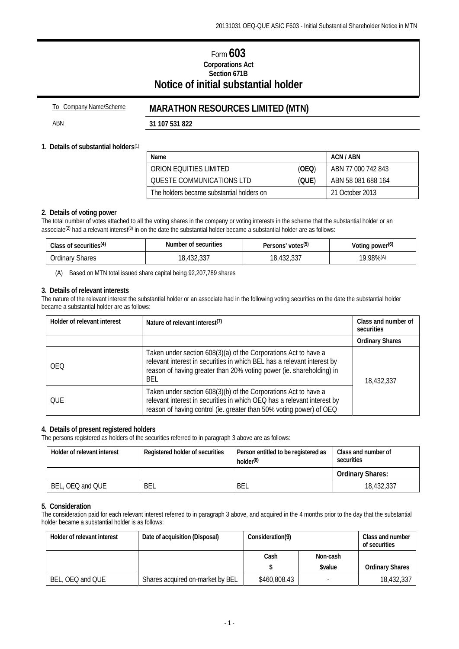# Form **603 Corporations Act Section 671B Notice of initial substantial holder**

# To Company Name/Scheme **MARATHON RESOURCES LIMITED (MTN)**

ABN **31 107 531 822**

## **1. Details of substantial holders**(1)

| Name                                      |       | ACN / ABN          |
|-------------------------------------------|-------|--------------------|
| ORION FOULTIES LIMITED                    | (OEQ) | ABN 77 000 742 843 |
| OUESTE COMMUNICATIONS LTD                 | (QUE) | ABN 58 081 688 164 |
| The holders became substantial holders on |       | - 21 October 2013  |

# **2. Details of voting power**

The total number of votes attached to all the voting shares in the company or voting interests in the scheme that the substantial holder or an associate<sup>(2)</sup> had a relevant interest<sup>(3)</sup> in on the date the substantial holder became a substantial holder are as follows:

| Class of securities <sup>(4)</sup> | Number of securities                                    | Persons' votes <sup>(5)</sup>      | Voting power <sup>(6)</sup> |
|------------------------------------|---------------------------------------------------------|------------------------------------|-----------------------------|
| <i><b>Jrdinary</b></i><br>Shares   | $\sim$ $\sim$ $\sim$<br>100<br>10<br>10,4JZ,JJ <i>I</i> | $. \cap \cap$<br>100<br>10,432,331 | $.98\%$ <sup>(A)</sup><br>o |

(A) Based on MTN total issued share capital being 92,207,789 shares

#### **3. Details of relevant interests**

The nature of the relevant interest the substantial holder or an associate had in the following voting securities on the date the substantial holder became a substantial holder are as follows:

| Holder of relevant interest | Nature of relevant interest <sup>(7)</sup>                                                                                                                                                                                | Class and number of<br>securities |  |
|-----------------------------|---------------------------------------------------------------------------------------------------------------------------------------------------------------------------------------------------------------------------|-----------------------------------|--|
|                             |                                                                                                                                                                                                                           | <b>Ordinary Shares</b>            |  |
| <b>OEO</b>                  | Taken under section 608(3)(a) of the Corporations Act to have a<br>relevant interest in securities in which BEL has a relevant interest by<br>reason of having greater than 20% voting power (ie. shareholding) in<br>BEL | 18,432,337                        |  |
| OUE                         | Taken under section 608(3)(b) of the Corporations Act to have a<br>relevant interest in securities in which OEQ has a relevant interest by<br>reason of having control (ie. greater than 50% voting power) of OEQ         |                                   |  |

#### **4. Details of present registered holders**

The persons registered as holders of the securities referred to in paragraph 3 above are as follows:

| Holder of relevant interest | Registered holder of securities | Person entitled to be registered as<br>holder <sup>(8)</sup> | Class and number of<br>securities |
|-----------------------------|---------------------------------|--------------------------------------------------------------|-----------------------------------|
|                             |                                 |                                                              | <b>Ordinary Shares:</b>           |
| BEL, OEQ and QUE            | BEL                             | BEL                                                          | 18,432,337                        |

## **5. Consideration**

The consideration paid for each relevant interest referred to in paragraph 3 above, and acquired in the 4 months prior to the day that the substantial holder became a substantial holder is as follows:

| Holder of relevant interest | Date of acquisition (Disposal)   | Consideration(9) |               | Class and number<br>of securities |
|-----------------------------|----------------------------------|------------------|---------------|-----------------------------------|
|                             |                                  | Cash             | Non-cash      |                                   |
|                             |                                  |                  | <b>Svalue</b> | <b>Ordinary Shares</b>            |
| BEL, OEQ and QUE            | Shares acquired on-market by BEL | \$460,808.43     |               | 18,432,337                        |